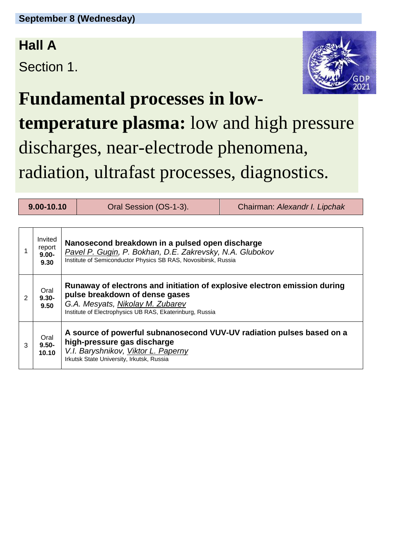#### **Hall A**

Section 1.



### **Fundamental processes in low-**

**temperature plasma:** low and high pressure discharges, near-electrode phenomena, radiation, ultrafast processes, diagnostics.

|   | 9.00-10.10                            |                                                                                                                                                                                          | Oral Session (OS-1-3).                                                                                                                                                                                      | Chairman: Alexandr I. Lipchak |  |
|---|---------------------------------------|------------------------------------------------------------------------------------------------------------------------------------------------------------------------------------------|-------------------------------------------------------------------------------------------------------------------------------------------------------------------------------------------------------------|-------------------------------|--|
|   |                                       |                                                                                                                                                                                          |                                                                                                                                                                                                             |                               |  |
|   | Invited<br>report<br>$9.00 -$<br>9.30 | Nanosecond breakdown in a pulsed open discharge<br>Pavel P. Gugin, P. Bokhan, D.E. Zakrevsky, N.A. Glubokov<br>Institute of Semiconductor Physics SB RAS, Novosibirsk, Russia            |                                                                                                                                                                                                             |                               |  |
| 2 | Oral<br>$9.30 -$<br>9.50              |                                                                                                                                                                                          | Runaway of electrons and initiation of explosive electron emission during<br>pulse breakdown of dense gases<br>G.A. Mesyats, Nikolay M. Zubarev<br>Institute of Electrophysics UB RAS, Ekaterinburg, Russia |                               |  |
| 3 | Oral<br>$9.50 -$<br>10.10             | A source of powerful subnanosecond VUV-UV radiation pulses based on a<br>high-pressure gas discharge<br>V.I. Baryshnikov, Viktor L. Paperny<br>Irkutsk State University, Irkutsk, Russia |                                                                                                                                                                                                             |                               |  |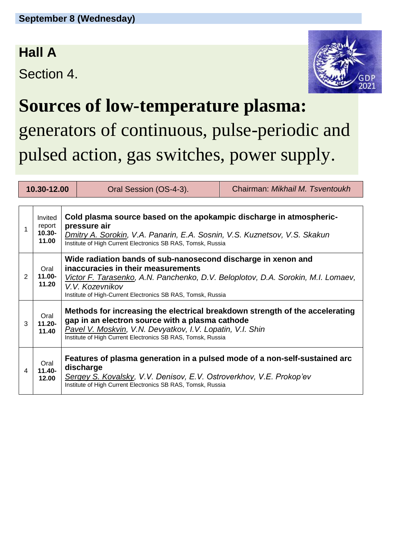#### **Hall A**

Section 4.



## **Sources of low-temperature plasma:**

generators of continuous, pulse-periodic and pulsed action, gas switches, power supply.

| 10.30-12.00 |                                         |                                                                                                                                                                                                                                                             | Oral Session (OS-4-3).                                                                                                                                                                                                                                                    | Chairman: Mikhail M. Tsventoukh |  |
|-------------|-----------------------------------------|-------------------------------------------------------------------------------------------------------------------------------------------------------------------------------------------------------------------------------------------------------------|---------------------------------------------------------------------------------------------------------------------------------------------------------------------------------------------------------------------------------------------------------------------------|---------------------------------|--|
|             |                                         |                                                                                                                                                                                                                                                             |                                                                                                                                                                                                                                                                           |                                 |  |
|             | Invited<br>report<br>$10.30 -$<br>11.00 | Cold plasma source based on the apokampic discharge in atmospheric-<br>pressure air<br>Dmitry A. Sorokin, V.A. Panarin, E.A. Sosnin, V.S. Kuznetsov, V.S. Skakun<br>Institute of High Current Electronics SB RAS, Tomsk, Russia                             |                                                                                                                                                                                                                                                                           |                                 |  |
| 2           | Oral<br>11.00-<br>11.20                 |                                                                                                                                                                                                                                                             | Wide radiation bands of sub-nanosecond discharge in xenon and<br>inaccuracies in their measurements<br>Victor F. Tarasenko, A.N. Panchenko, D.V. Beloplotov, D.A. Sorokin, M.I. Lomaev,<br>V.V. Kozevnikov<br>Institute of High-Current Electronics SB RAS, Tomsk, Russia |                                 |  |
| 3           | Oral<br>$11.20 -$<br>11.40              | Methods for increasing the electrical breakdown strength of the accelerating<br>gap in an electron source with a plasma cathode<br>Pavel V. Moskvin, V.N. Devyatkov, I.V. Lopatin, V.I. Shin<br>Institute of High Current Electronics SB RAS, Tomsk, Russia |                                                                                                                                                                                                                                                                           |                                 |  |
| 4           | Oral<br>$11.40 -$<br>12.00              |                                                                                                                                                                                                                                                             | Features of plasma generation in a pulsed mode of a non-self-sustained arc<br>discharge<br>Sergey S. Kovalsky, V.V. Denisov, E.V. Ostroverkhov, V.E. Prokop'ev<br>Institute of High Current Electronics SB RAS, Tomsk, Russia                                             |                                 |  |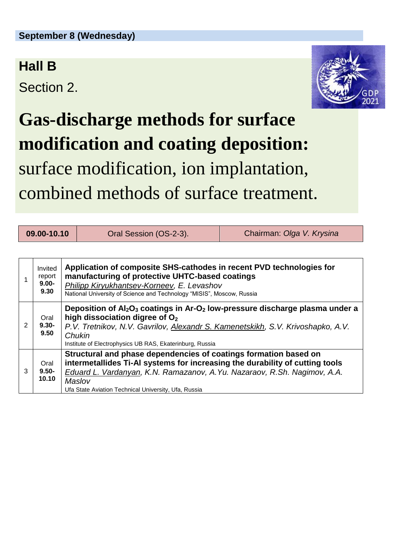#### **Hall B**

Section 2.



# **Gas-discharge methods for surface modification and coating deposition:** surface modification, ion implantation, combined methods of surface treatment.

| 09.00-10.10   |                                       | Oral Session (OS-2-3).                                                                                                                                                                                                                                                                         | Chairman: Olga V. Krysina |  |  |
|---------------|---------------------------------------|------------------------------------------------------------------------------------------------------------------------------------------------------------------------------------------------------------------------------------------------------------------------------------------------|---------------------------|--|--|
|               |                                       |                                                                                                                                                                                                                                                                                                |                           |  |  |
|               | Invited<br>report<br>$9.00 -$<br>9.30 | Application of composite SHS-cathodes in recent PVD technologies for<br>manufacturing of protective UHTC-based coatings<br>Philipp Kiryukhantsev-Korneev, E. Levashov<br>National University of Science and Technology "MISIS", Moscow, Russia                                                 |                           |  |  |
| $\mathcal{P}$ | Oral<br>$9.30 -$<br>9.50              | Deposition of $Al_2O_3$ coatings in Ar-O <sub>2</sub> low-pressure discharge plasma under a<br>high dissociation digree of $O2$<br>P.V. Tretnikov, N.V. Gavrilov, Alexandr S. Kamenetskikh, S.V. Krivoshapko, A.V.<br>Chukin<br>Institute of Electrophysics UB RAS, Ekaterinburg, Russia       |                           |  |  |
| 3             | Oral<br>$9.50 -$<br>10.10             | Structural and phase dependencies of coatings formation based on<br>intermetallides Ti-AI systems for increasing the durability of cutting tools<br>Eduard L. Vardanyan, K.N. Ramazanov, A.Yu. Nazaraov, R.Sh. Nagimov, A.A.<br>Maslov<br>Ufa State Aviation Technical University, Ufa, Russia |                           |  |  |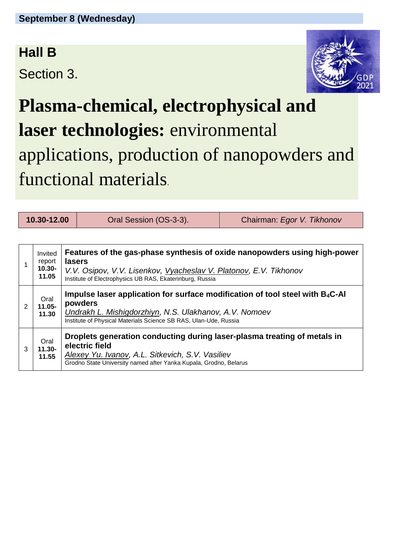#### **Hall B**

Section 3.



# **Plasma-chemical, electrophysical and laser technologies:** environmental applications, production of nanopowders and functional materials.

**10.30-12.00** Oral Session (OS-3-3). Chairman: *Egor V. Tikhonov*

|   | Invited<br>report<br>$10.30 -$<br>11.05 | Features of the gas-phase synthesis of oxide nanopowders using high-power<br><b>lasers</b><br>V.V. Osipov, V.V. Lisenkov, Vyacheslav V. Platonov, E.V. Tikhonov<br>Institute of Electrophysics UB RAS, Ekaterinburg, Russia |  |
|---|-----------------------------------------|-----------------------------------------------------------------------------------------------------------------------------------------------------------------------------------------------------------------------------|--|
| 2 | Oral<br>$11.05 -$<br>11.30              | Impulse laser application for surface modification of tool steel with $B_4C$ -Al<br>powders<br>Undrakh L. Mishigdorzhiyn, N.S. Ulakhanov, A.V. Nomoev<br>Institute of Physical Materials Science SB RAS, Ulan-Ude, Russia   |  |
| 3 | Oral<br>$11.30 -$<br>11.55              | Droplets generation conducting during laser-plasma treating of metals in<br>electric field<br>Alexey Yu. Ivanov, A.L. Sitkevich, S.V. Vasiliev<br>Grodno State University named after Yanka Kupala, Grodno, Belarus         |  |